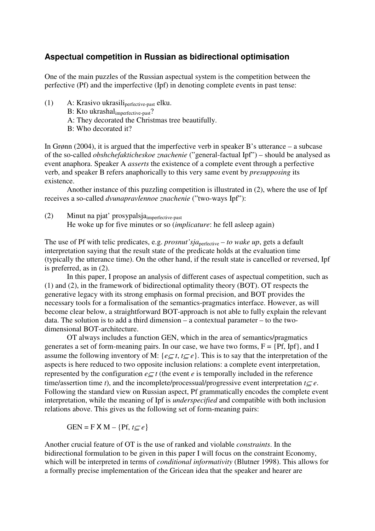## **Aspectual competition in Russian as bidirectional optimisation**

One of the main puzzles of the Russian aspectual system is the competition between the perfective (Pf) and the imperfective (Ipf) in denoting complete events in past tense:

- (1) A: Krasivo ukrasiliperfective-past elku.
	- B: Kto ukrashalimperfective-past?
	- A: They decorated the Christmas tree beautifully.
	- B: Who decorated it?

In Grønn (2004), it is argued that the imperfective verb in speaker B's utterance – a subcase of the so-called *obshchefakticheskoe znachenie* ("general-factual Ipf") – should be analysed as event anaphora. Speaker A *asserts* the existence of a complete event through a perfective verb, and speaker B refers anaphorically to this very same event by *presupposing* its existence.

Another instance of this puzzling competition is illustrated in (2), where the use of Ipf receives a so-called *dvunapravlennoe znachenie* ("two-ways Ipf"):

(2) Minut na pjat' prosypalsjaimperfective-past He woke up for five minutes or so (*implicature*: he fell asleep again)

The use of Pf with telic predicates, e.g. *prosnut'sja*perfective *– to wake up*, gets a default interpretation saying that the result state of the predicate holds at the evaluation time (typically the utterance time). On the other hand, if the result state is cancelled or reversed, Ipf is preferred, as in (2).

In this paper, I propose an analysis of different cases of aspectual competition, such as (1) and (2), in the framework of bidirectional optimality theory (BOT). OT respects the generative legacy with its strong emphasis on formal precision, and BOT provides the necessary tools for a formalisation of the semantics-pragmatics interface. However, as will become clear below, a straightforward BOT-approach is not able to fully explain the relevant data. The solution is to add a third dimension – a contextual parameter – to the twodimensional BOT-architecture.

OT always includes a function GEN, which in the area of semantics/pragmatics generates a set of form-meaning pairs. In our case, we have two forms,  $F = \{Pf, Ipf\}$ , and I assume the following inventory of M:  $\{e \subseteq t, t \subseteq e\}$ . This is to say that the interpretation of the aspects is here reduced to two opposite inclusion relations: a complete event interpretation, represented by the configuration  $e \subseteq t$  (the event *e* is temporally included in the reference time/assertion time *t*), and the incomplete/processual/progressive event interpretation  $t \subset e$ . Following the standard view on Russian aspect, Pf grammatically encodes the complete event interpretation, while the meaning of Ipf is *underspecified* and compatible with both inclusion relations above. This gives us the following set of form-meaning pairs:

 $GEN = F \times M - {Pf, t \subset e}$ 

Another crucial feature of OT is the use of ranked and violable *constraints*. In the bidirectional formulation to be given in this paper I will focus on the constraint Economy, which will be interpreted in terms of *conditional informativity* (Blutner 1998). This allows for a formally precise implementation of the Gricean idea that the speaker and hearer are